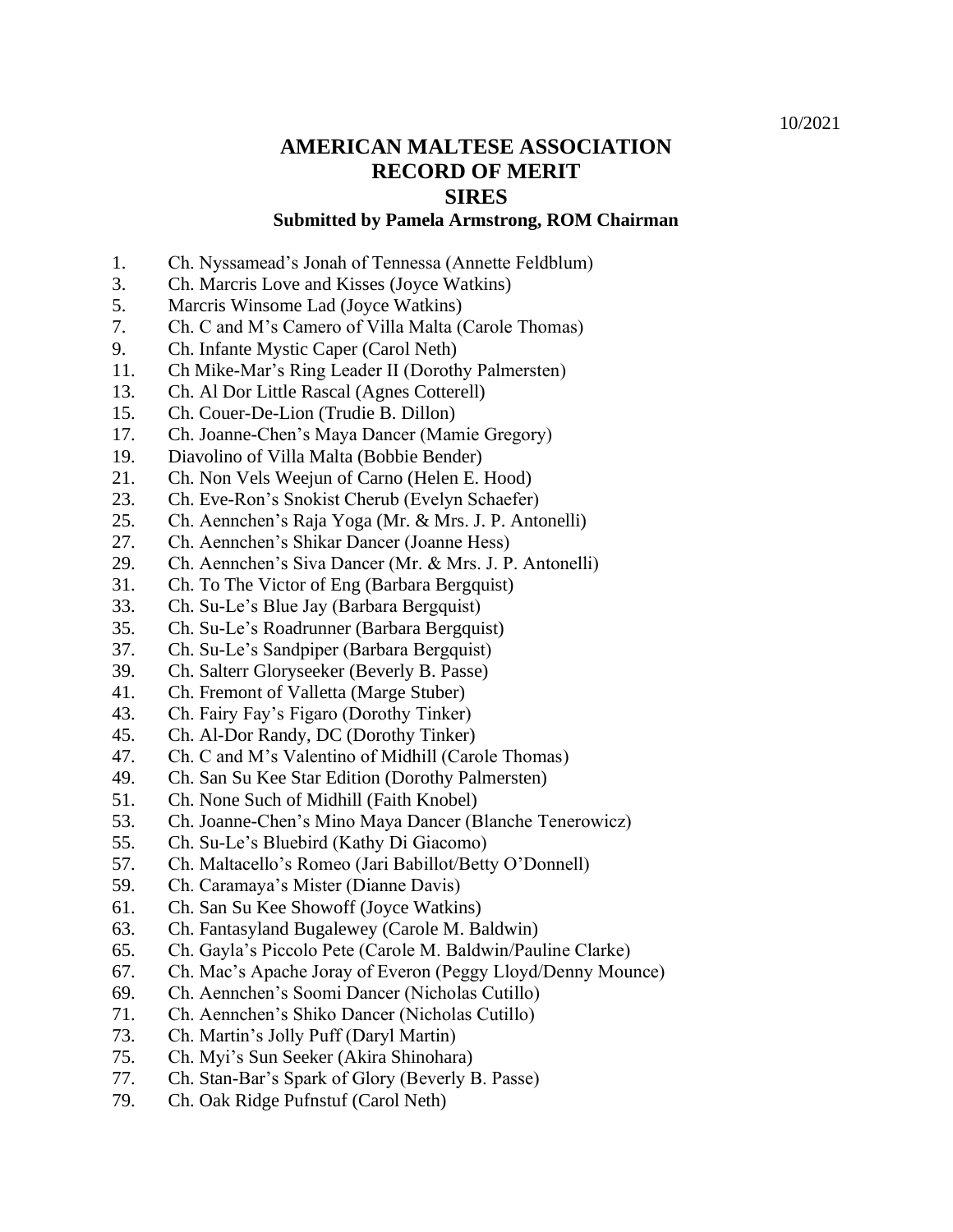## **AMERICAN MALTESE ASSOCIATION RECORD OF MERIT SIRES**

## **Submitted by Pamela Armstrong, ROM Chairman**

- 1. Ch. Nyssamead's Jonah of Tennessa (Annette Feldblum)
- 3. Ch. Marcris Love and Kisses (Joyce Watkins)
- 5. Marcris Winsome Lad (Joyce Watkins)
- 7. Ch. C and M's Camero of Villa Malta (Carole Thomas)
- 9. Ch. Infante Mystic Caper (Carol Neth)
- 11. Ch Mike-Mar's Ring Leader II (Dorothy Palmersten)
- 13. Ch. Al Dor Little Rascal (Agnes Cotterell)
- 15. Ch. Couer-De-Lion (Trudie B. Dillon)
- 17. Ch. Joanne-Chen's Maya Dancer (Mamie Gregory)
- 19. Diavolino of Villa Malta (Bobbie Bender)
- 21. Ch. Non Vels Weejun of Carno (Helen E. Hood)
- 23. Ch. Eve-Ron's Snokist Cherub (Evelyn Schaefer)
- 25. Ch. Aennchen's Raja Yoga (Mr. & Mrs. J. P. Antonelli)
- 27. Ch. Aennchen's Shikar Dancer (Joanne Hess)
- 29. Ch. Aennchen's Siva Dancer (Mr. & Mrs. J. P. Antonelli)
- 31. Ch. To The Victor of Eng (Barbara Bergquist)
- 33. Ch. Su-Le's Blue Jay (Barbara Bergquist)
- 35. Ch. Su-Le's Roadrunner (Barbara Bergquist)
- 37. Ch. Su-Le's Sandpiper (Barbara Bergquist)
- 39. Ch. Salterr Gloryseeker (Beverly B. Passe)
- 41. Ch. Fremont of Valletta (Marge Stuber)
- 43. Ch. Fairy Fay's Figaro (Dorothy Tinker)
- 45. Ch. Al-Dor Randy, DC (Dorothy Tinker)
- 47. Ch. C and M's Valentino of Midhill (Carole Thomas)
- 49. Ch. San Su Kee Star Edition (Dorothy Palmersten)
- 51. Ch. None Such of Midhill (Faith Knobel)
- 53. Ch. Joanne-Chen's Mino Maya Dancer (Blanche Tenerowicz)
- 55. Ch. Su-Le's Bluebird (Kathy Di Giacomo)
- 57. Ch. Maltacello's Romeo (Jari Babillot/Betty O'Donnell)
- 59. Ch. Caramaya's Mister (Dianne Davis)
- 61. Ch. San Su Kee Showoff (Joyce Watkins)
- 63. Ch. Fantasyland Bugalewey (Carole M. Baldwin)
- 65. Ch. Gayla's Piccolo Pete (Carole M. Baldwin/Pauline Clarke)
- 67. Ch. Mac's Apache Joray of Everon (Peggy Lloyd/Denny Mounce)
- 69. Ch. Aennchen's Soomi Dancer (Nicholas Cutillo)
- 71. Ch. Aennchen's Shiko Dancer (Nicholas Cutillo)
- 73. Ch. Martin's Jolly Puff (Daryl Martin)
- 75. Ch. Myi's Sun Seeker (Akira Shinohara)
- 77. Ch. Stan-Bar's Spark of Glory (Beverly B. Passe)
- 79. Ch. Oak Ridge Pufnstuf (Carol Neth)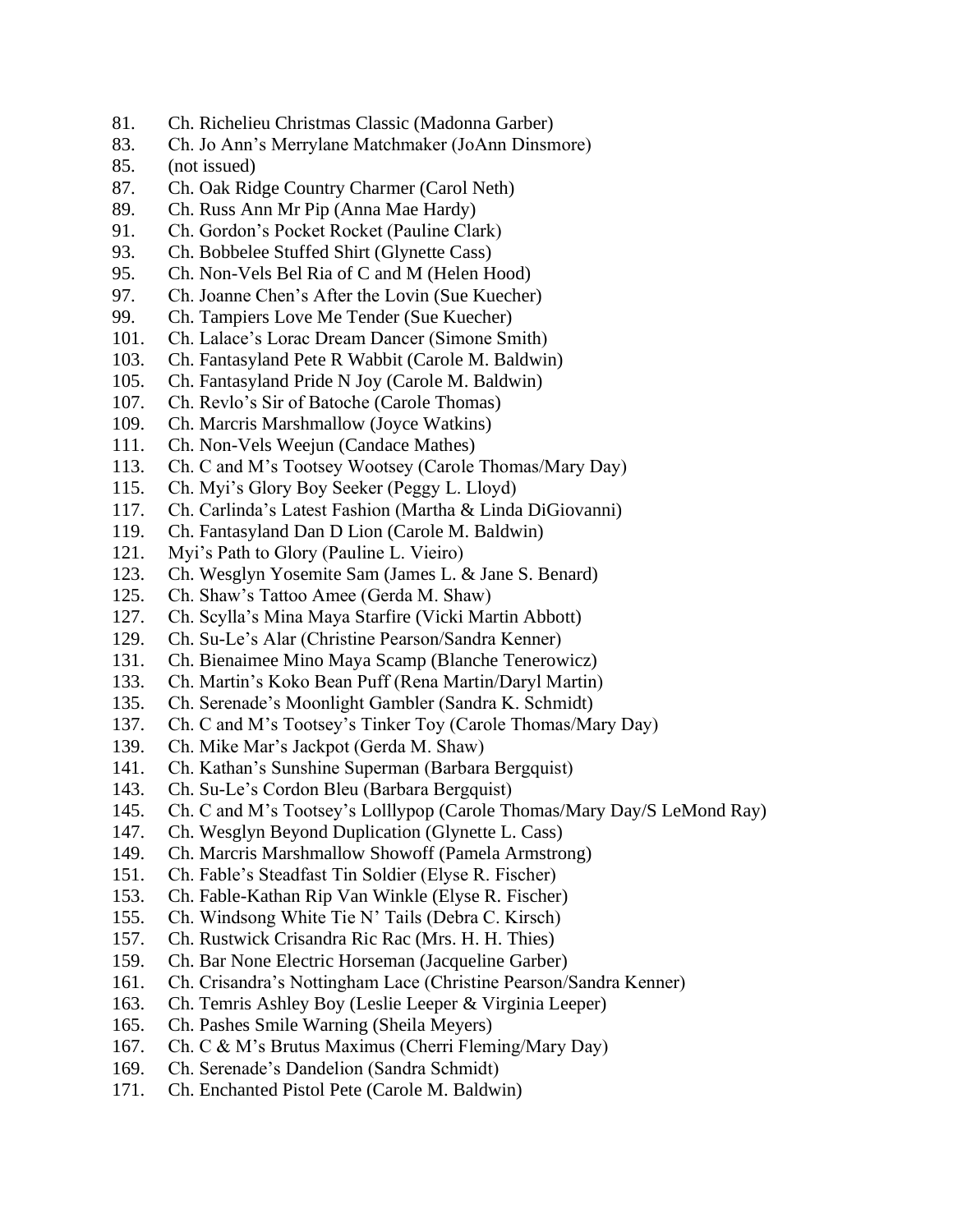- 81. Ch. Richelieu Christmas Classic (Madonna Garber)
- 83. Ch. Jo Ann's Merrylane Matchmaker (JoAnn Dinsmore)
- 85. (not issued)
- 87. Ch. Oak Ridge Country Charmer (Carol Neth)
- 89. Ch. Russ Ann Mr Pip (Anna Mae Hardy)
- 91. Ch. Gordon's Pocket Rocket (Pauline Clark)
- 93. Ch. Bobbelee Stuffed Shirt (Glynette Cass)
- 95. Ch. Non-Vels Bel Ria of C and M (Helen Hood)
- 97. Ch. Joanne Chen's After the Lovin (Sue Kuecher)
- 99. Ch. Tampiers Love Me Tender (Sue Kuecher)
- 101. Ch. Lalace's Lorac Dream Dancer (Simone Smith)
- 103. Ch. Fantasyland Pete R Wabbit (Carole M. Baldwin)
- 105. Ch. Fantasyland Pride N Joy (Carole M. Baldwin)
- 107. Ch. Revlo's Sir of Batoche (Carole Thomas)
- 109. Ch. Marcris Marshmallow (Joyce Watkins)
- 111. Ch. Non-Vels Weejun (Candace Mathes)
- 113. Ch. C and M's Tootsey Wootsey (Carole Thomas/Mary Day)
- 115. Ch. Myi's Glory Boy Seeker (Peggy L. Lloyd)
- 117. Ch. Carlinda's Latest Fashion (Martha & Linda DiGiovanni)
- 119. Ch. Fantasyland Dan D Lion (Carole M. Baldwin)
- 121. Myi's Path to Glory (Pauline L. Vieiro)
- 123. Ch. Wesglyn Yosemite Sam (James L. & Jane S. Benard)
- 125. Ch. Shaw's Tattoo Amee (Gerda M. Shaw)
- 127. Ch. Scylla's Mina Maya Starfire (Vicki Martin Abbott)
- 129. Ch. Su-Le's Alar (Christine Pearson/Sandra Kenner)
- 131. Ch. Bienaimee Mino Maya Scamp (Blanche Tenerowicz)
- 133. Ch. Martin's Koko Bean Puff (Rena Martin/Daryl Martin)
- 135. Ch. Serenade's Moonlight Gambler (Sandra K. Schmidt)
- 137. Ch. C and M's Tootsey's Tinker Toy (Carole Thomas/Mary Day)
- 139. Ch. Mike Mar's Jackpot (Gerda M. Shaw)
- 141. Ch. Kathan's Sunshine Superman (Barbara Bergquist)
- 143. Ch. Su-Le's Cordon Bleu (Barbara Bergquist)
- 145. Ch. C and M's Tootsey's Lolllypop (Carole Thomas/Mary Day/S LeMond Ray)
- 147. Ch. Wesglyn Beyond Duplication (Glynette L. Cass)
- 149. Ch. Marcris Marshmallow Showoff (Pamela Armstrong)
- 151. Ch. Fable's Steadfast Tin Soldier (Elyse R. Fischer)
- 153. Ch. Fable-Kathan Rip Van Winkle (Elyse R. Fischer)
- 155. Ch. Windsong White Tie N' Tails (Debra C. Kirsch)
- 157. Ch. Rustwick Crisandra Ric Rac (Mrs. H. H. Thies)
- 159. Ch. Bar None Electric Horseman (Jacqueline Garber)
- 161. Ch. Crisandra's Nottingham Lace (Christine Pearson/Sandra Kenner)
- 163. Ch. Temris Ashley Boy (Leslie Leeper & Virginia Leeper)
- 165. Ch. Pashes Smile Warning (Sheila Meyers)
- 167. Ch. C & M's Brutus Maximus (Cherri Fleming/Mary Day)
- 169. Ch. Serenade's Dandelion (Sandra Schmidt)
- 171. Ch. Enchanted Pistol Pete (Carole M. Baldwin)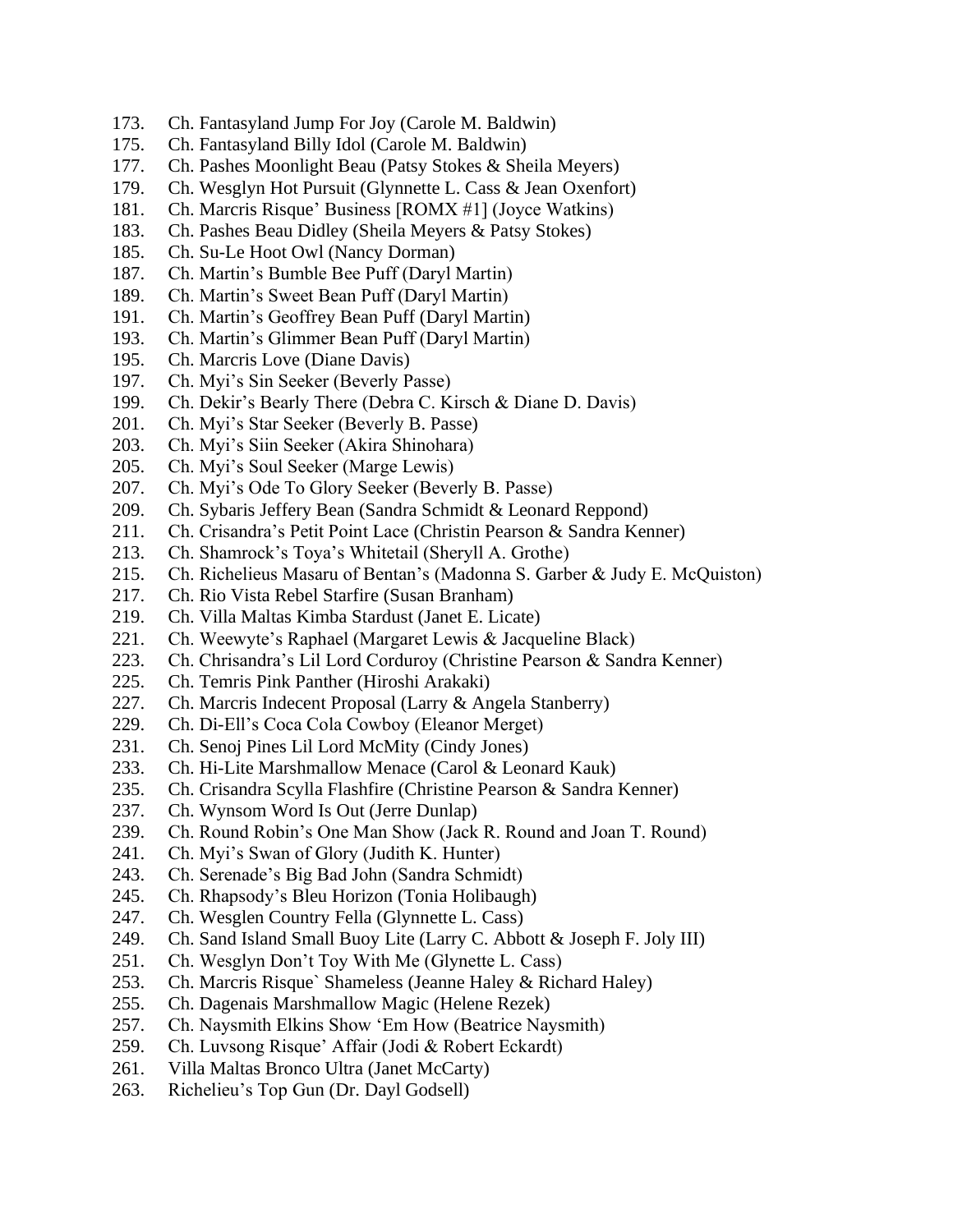- 173. Ch. Fantasyland Jump For Joy (Carole M. Baldwin)
- 175. Ch. Fantasyland Billy Idol (Carole M. Baldwin)
- 177. Ch. Pashes Moonlight Beau (Patsy Stokes & Sheila Meyers)
- 179. Ch. Wesglyn Hot Pursuit (Glynnette L. Cass & Jean Oxenfort)
- 181. Ch. Marcris Risque' Business [ROMX #1] (Joyce Watkins)
- 183. Ch. Pashes Beau Didley (Sheila Meyers & Patsy Stokes)
- 185. Ch. Su-Le Hoot Owl (Nancy Dorman)
- 187. Ch. Martin's Bumble Bee Puff (Daryl Martin)
- 189. Ch. Martin's Sweet Bean Puff (Daryl Martin)
- 191. Ch. Martin's Geoffrey Bean Puff (Daryl Martin)
- 193. Ch. Martin's Glimmer Bean Puff (Daryl Martin)
- 195. Ch. Marcris Love (Diane Davis)
- 197. Ch. Myi's Sin Seeker (Beverly Passe)
- 199. Ch. Dekir's Bearly There (Debra C. Kirsch & Diane D. Davis)
- 201. Ch. Myi's Star Seeker (Beverly B. Passe)
- 203. Ch. Myi's Siin Seeker (Akira Shinohara)
- 205. Ch. Myi's Soul Seeker (Marge Lewis)
- 207. Ch. Myi's Ode To Glory Seeker (Beverly B. Passe)
- 209. Ch. Sybaris Jeffery Bean (Sandra Schmidt & Leonard Reppond)
- 211. Ch. Crisandra's Petit Point Lace (Christin Pearson & Sandra Kenner)
- 213. Ch. Shamrock's Toya's Whitetail (Sheryll A. Grothe)
- 215. Ch. Richelieus Masaru of Bentan's (Madonna S. Garber & Judy E. McQuiston)
- 217. Ch. Rio Vista Rebel Starfire (Susan Branham)
- 219. Ch. Villa Maltas Kimba Stardust (Janet E. Licate)
- 221. Ch. Weewyte's Raphael (Margaret Lewis & Jacqueline Black)
- 223. Ch. Chrisandra's Lil Lord Corduroy (Christine Pearson & Sandra Kenner)
- 225. Ch. Temris Pink Panther (Hiroshi Arakaki)
- 227. Ch. Marcris Indecent Proposal (Larry & Angela Stanberry)
- 229. Ch. Di-Ell's Coca Cola Cowboy (Eleanor Merget)
- 231. Ch. Senoj Pines Lil Lord McMity (Cindy Jones)
- 233. Ch. Hi-Lite Marshmallow Menace (Carol & Leonard Kauk)
- 235. Ch. Crisandra Scylla Flashfire (Christine Pearson & Sandra Kenner)
- 237. Ch. Wynsom Word Is Out (Jerre Dunlap)
- 239. Ch. Round Robin's One Man Show (Jack R. Round and Joan T. Round)
- 241. Ch. Myi's Swan of Glory (Judith K. Hunter)
- 243. Ch. Serenade's Big Bad John (Sandra Schmidt)
- 245. Ch. Rhapsody's Bleu Horizon (Tonia Holibaugh)
- 247. Ch. Wesglen Country Fella (Glynnette L. Cass)
- 249. Ch. Sand Island Small Buoy Lite (Larry C. Abbott & Joseph F. Joly III)
- 251. Ch. Wesglyn Don't Toy With Me (Glynette L. Cass)
- 253. Ch. Marcris Risque` Shameless (Jeanne Haley & Richard Haley)
- 255. Ch. Dagenais Marshmallow Magic (Helene Rezek)
- 257. Ch. Naysmith Elkins Show 'Em How (Beatrice Naysmith)
- 259. Ch. Luvsong Risque' Affair (Jodi & Robert Eckardt)
- 261. Villa Maltas Bronco Ultra (Janet McCarty)
- 263. Richelieu's Top Gun (Dr. Dayl Godsell)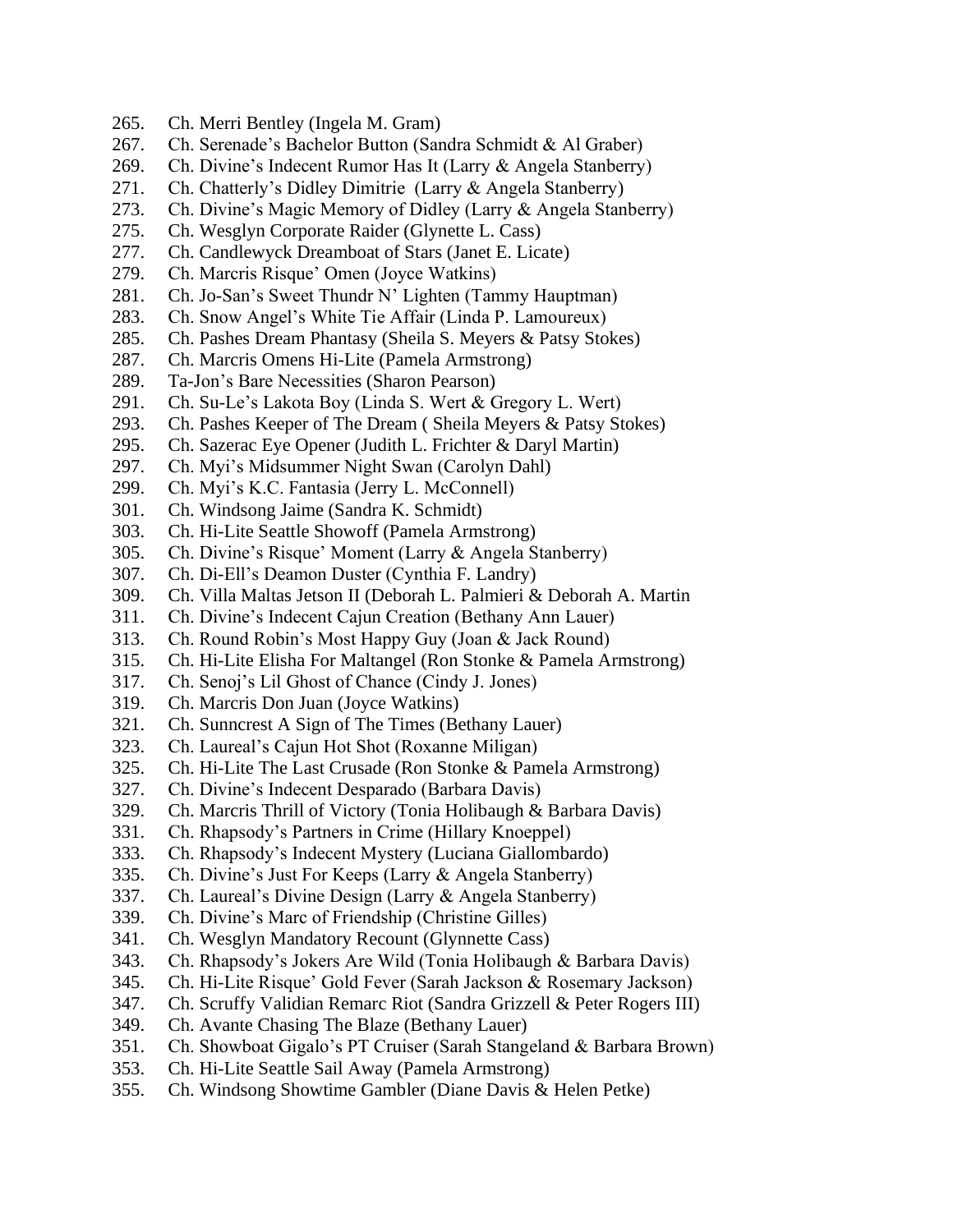- 265. Ch. Merri Bentley (Ingela M. Gram)
- 267. Ch. Serenade's Bachelor Button (Sandra Schmidt & Al Graber)
- 269. Ch. Divine's Indecent Rumor Has It (Larry & Angela Stanberry)
- 271. Ch. Chatterly's Didley Dimitrie (Larry & Angela Stanberry)
- 273. Ch. Divine's Magic Memory of Didley (Larry & Angela Stanberry)
- 275. Ch. Wesglyn Corporate Raider (Glynette L. Cass)
- 277. Ch. Candlewyck Dreamboat of Stars (Janet E. Licate)
- 279. Ch. Marcris Risque' Omen (Joyce Watkins)
- 281. Ch. Jo-San's Sweet Thundr N' Lighten (Tammy Hauptman)
- 283. Ch. Snow Angel's White Tie Affair (Linda P. Lamoureux)
- 285. Ch. Pashes Dream Phantasy (Sheila S. Meyers & Patsy Stokes)
- 287. Ch. Marcris Omens Hi-Lite (Pamela Armstrong)
- 289. Ta-Jon's Bare Necessities (Sharon Pearson)
- 291. Ch. Su-Le's Lakota Boy (Linda S. Wert & Gregory L. Wert)
- 293. Ch. Pashes Keeper of The Dream ( Sheila Meyers & Patsy Stokes)
- 295. Ch. Sazerac Eye Opener (Judith L. Frichter & Daryl Martin)
- 297. Ch. Myi's Midsummer Night Swan (Carolyn Dahl)
- 299. Ch. Myi's K.C. Fantasia (Jerry L. McConnell)
- 301. Ch. Windsong Jaime (Sandra K. Schmidt)
- 303. Ch. Hi-Lite Seattle Showoff (Pamela Armstrong)
- 305. Ch. Divine's Risque' Moment (Larry & Angela Stanberry)
- 307. Ch. Di-Ell's Deamon Duster (Cynthia F. Landry)
- 309. Ch. Villa Maltas Jetson II (Deborah L. Palmieri & Deborah A. Martin
- 311. Ch. Divine's Indecent Cajun Creation (Bethany Ann Lauer)
- 313. Ch. Round Robin's Most Happy Guy (Joan & Jack Round)
- 315. Ch. Hi-Lite Elisha For Maltangel (Ron Stonke & Pamela Armstrong)
- 317. Ch. Senoj's Lil Ghost of Chance (Cindy J. Jones)
- 319. Ch. Marcris Don Juan (Joyce Watkins)
- 321. Ch. Sunncrest A Sign of The Times (Bethany Lauer)
- 323. Ch. Laureal's Cajun Hot Shot (Roxanne Miligan)
- 325. Ch. Hi-Lite The Last Crusade (Ron Stonke & Pamela Armstrong)
- 327. Ch. Divine's Indecent Desparado (Barbara Davis)
- 329. Ch. Marcris Thrill of Victory (Tonia Holibaugh & Barbara Davis)
- 331. Ch. Rhapsody's Partners in Crime (Hillary Knoeppel)
- 333. Ch. Rhapsody's Indecent Mystery (Luciana Giallombardo)
- 335. Ch. Divine's Just For Keeps (Larry & Angela Stanberry)
- 337. Ch. Laureal's Divine Design (Larry & Angela Stanberry)
- 339. Ch. Divine's Marc of Friendship (Christine Gilles)
- 341. Ch. Wesglyn Mandatory Recount (Glynnette Cass)
- 343. Ch. Rhapsody's Jokers Are Wild (Tonia Holibaugh & Barbara Davis)
- 345. Ch. Hi-Lite Risque' Gold Fever (Sarah Jackson & Rosemary Jackson)
- 347. Ch. Scruffy Validian Remarc Riot (Sandra Grizzell & Peter Rogers III)
- 349. Ch. Avante Chasing The Blaze (Bethany Lauer)
- 351. Ch. Showboat Gigalo's PT Cruiser (Sarah Stangeland & Barbara Brown)
- 353. Ch. Hi-Lite Seattle Sail Away (Pamela Armstrong)
- 355. Ch. Windsong Showtime Gambler (Diane Davis & Helen Petke)